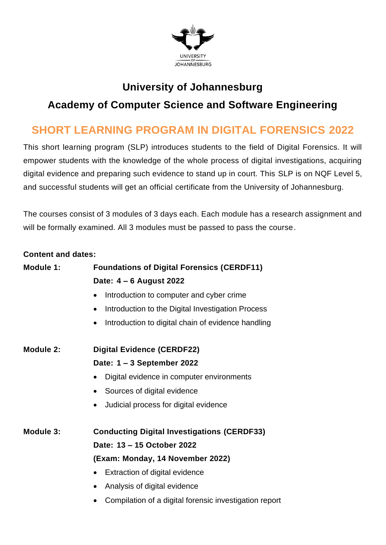

## **University of Johannesburg**

## **Academy of Computer Science and Software Engineering**

# **SHORT LEARNING PROGRAM IN DIGITAL FORENSICS 2022**

This short learning program (SLP) introduces students to the field of Digital Forensics. It will empower students with the knowledge of the whole process of digital investigations, acquiring digital evidence and preparing such evidence to stand up in court. This SLP is on NQF Level 5, and successful students will get an official certificate from the University of Johannesburg.

The courses consist of 3 modules of 3 days each. Each module has a research assignment and will be formally examined. All 3 modules must be passed to pass the course.

#### **Content and dates:**

| Module 1: | <b>Foundations of Digital Forensics (CERDF11)</b>               |
|-----------|-----------------------------------------------------------------|
|           | Date: 4 - 6 August 2022                                         |
|           | Introduction to computer and cyber crime<br>$\bullet$           |
|           | Introduction to the Digital Investigation Process<br>$\bullet$  |
|           | Introduction to digital chain of evidence handling<br>$\bullet$ |
| Module 2: | <b>Digital Evidence (CERDF22)</b>                               |
|           | Date: 1 - 3 September 2022                                      |
|           | Digital evidence in computer environments<br>$\bullet$          |
|           | Sources of digital evidence<br>$\bullet$                        |
|           | Judicial process for digital evidence<br>$\bullet$              |
| Module 3: | <b>Conducting Digital Investigations (CERDF33)</b>              |
|           | Date: 13 - 15 October 2022                                      |
|           | (Exam: Monday, 14 November 2022)                                |
|           | Extraction of digital evidence<br>$\bullet$                     |
|           | Analysis of digital evidence<br>$\bullet$                       |
|           | Compilation of a digital forensic investigation report          |